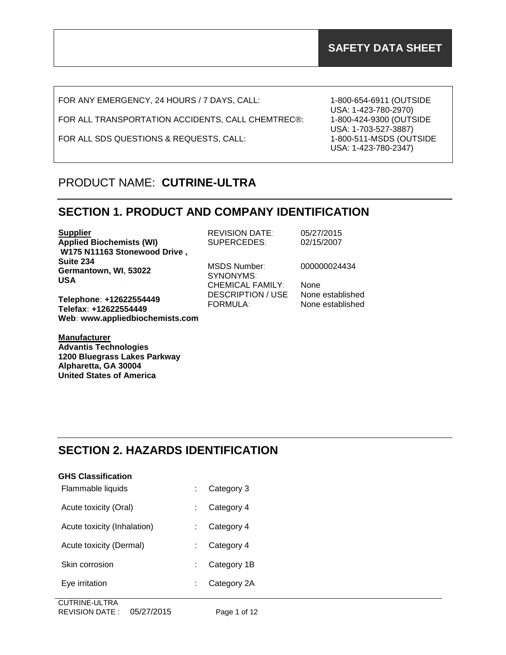FOR ANY EMERGENCY, 24 HOURS / 7 DAYS, CALL:

FOR ALL TRANSPORTATION ACCIDENTS, CALL CHEMTREC®:

FOR ALL SDS QUESTIONS & REQUESTS, CALL:

1-800-654-6911 (OUTSIDE USA: 1-423-780-2970) 1-800-424-9300 (OUTSIDE USA: 1-703-527-3887) 1-800-511-MSDS (OUTSIDE USA: 1-423-780-2347)

## PRODUCT NAME: **CUTRINE-ULTRA**

### **SECTION 1. PRODUCT AND COMPANY IDENTIFICATION**

**Supplier Applied Biochemists (WI) W175 N11163 Stonewood Drive , Suite 234 Germantown, WI, 53022 USA**

**Telephone: +12622554449 Telefax: +12622554449 Web: www.appliedbiochemists.com**

**Manufacturer Advantis Technologies 1200 Bluegrass Lakes Parkway Alpharetta, GA 30004 United States of America**

REVISION DATE: 05/27/2015 SUPERCEDES: 02/15/2007

MSDS Number: 000000024434 SYNONYMS: CHEMICAL FAMILY: None DESCRIPTION / USE None established FORMULA: None established

## **SECTION 2. HAZARDS IDENTIFICATION**

| <b>GHS Classification</b>   |             |
|-----------------------------|-------------|
| Flammable liquids           | Category 3  |
| Acute toxicity (Oral)       | Category 4  |
| Acute toxicity (Inhalation) | Category 4  |
| Acute toxicity (Dermal)     | Category 4  |
| Skin corrosion              | Category 1B |
| Eye irritation              | Category 2A |
| --  . -. <u>-</u> -         |             |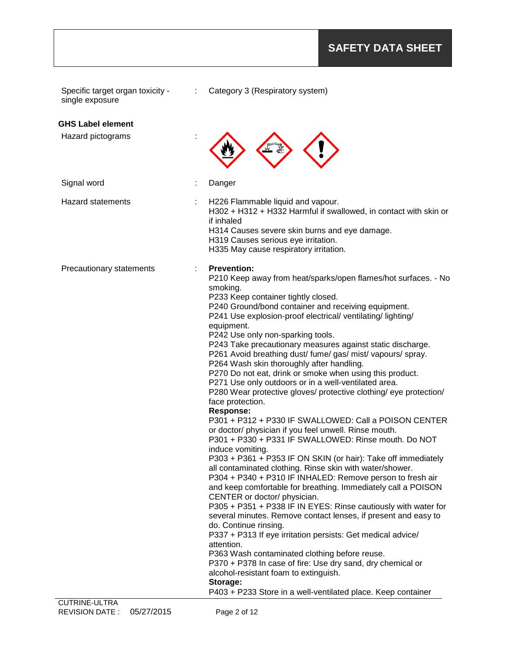| <b>GHS Label element</b><br>Hazard pictograms<br>Signal word<br>Danger<br><b>Hazard statements</b><br>H226 Flammable liquid and vapour.<br>H302 + H312 + H332 Harmful if swallowed, in contact with skin or<br>if inhaled<br>H314 Causes severe skin burns and eye damage.<br>H319 Causes serious eye irritation.<br>H335 May cause respiratory irritation.<br><b>Prevention:</b><br>Precautionary statements<br>P210 Keep away from heat/sparks/open flames/hot surfaces. - No<br>smoking.<br>P233 Keep container tightly closed.<br>P240 Ground/bond container and receiving equipment.<br>P241 Use explosion-proof electrical/ ventilating/ lighting/<br>equipment.<br>P242 Use only non-sparking tools.<br>P243 Take precautionary measures against static discharge.<br>P261 Avoid breathing dust/ fume/ gas/ mist/ vapours/ spray.<br>P264 Wash skin thoroughly after handling.<br>P270 Do not eat, drink or smoke when using this product.<br>P271 Use only outdoors or in a well-ventilated area.<br>P280 Wear protective gloves/ protective clothing/ eye protection/<br>face protection.<br><b>Response:</b><br>P301 + P312 + P330 IF SWALLOWED: Call a POISON CENTER<br>or doctor/ physician if you feel unwell. Rinse mouth.<br>P301 + P330 + P331 IF SWALLOWED: Rinse mouth, Do NOT<br>induce vomiting.<br>P303 + P361 + P353 IF ON SKIN (or hair): Take off immediately<br>all contaminated clothing. Rinse skin with water/shower.<br>P304 + P340 + P310 IF INHALED: Remove person to fresh air<br>and keep comfortable for breathing. Immediately call a POISON<br>CENTER or doctor/ physician.<br>P305 + P351 + P338 IF IN EYES: Rinse cautiously with water for<br>several minutes. Remove contact lenses, if present and easy to<br>do. Continue rinsing.<br>P337 + P313 If eye irritation persists: Get medical advice/<br>attention.<br>P363 Wash contaminated clothing before reuse. | Specific target organ toxicity -<br>single exposure | ÷ | Category 3 (Respiratory system) |
|------------------------------------------------------------------------------------------------------------------------------------------------------------------------------------------------------------------------------------------------------------------------------------------------------------------------------------------------------------------------------------------------------------------------------------------------------------------------------------------------------------------------------------------------------------------------------------------------------------------------------------------------------------------------------------------------------------------------------------------------------------------------------------------------------------------------------------------------------------------------------------------------------------------------------------------------------------------------------------------------------------------------------------------------------------------------------------------------------------------------------------------------------------------------------------------------------------------------------------------------------------------------------------------------------------------------------------------------------------------------------------------------------------------------------------------------------------------------------------------------------------------------------------------------------------------------------------------------------------------------------------------------------------------------------------------------------------------------------------------------------------------------------------------------------------------------------------------------------------------------------------------------------------|-----------------------------------------------------|---|---------------------------------|
|                                                                                                                                                                                                                                                                                                                                                                                                                                                                                                                                                                                                                                                                                                                                                                                                                                                                                                                                                                                                                                                                                                                                                                                                                                                                                                                                                                                                                                                                                                                                                                                                                                                                                                                                                                                                                                                                                                            |                                                     |   |                                 |
|                                                                                                                                                                                                                                                                                                                                                                                                                                                                                                                                                                                                                                                                                                                                                                                                                                                                                                                                                                                                                                                                                                                                                                                                                                                                                                                                                                                                                                                                                                                                                                                                                                                                                                                                                                                                                                                                                                            |                                                     |   |                                 |
|                                                                                                                                                                                                                                                                                                                                                                                                                                                                                                                                                                                                                                                                                                                                                                                                                                                                                                                                                                                                                                                                                                                                                                                                                                                                                                                                                                                                                                                                                                                                                                                                                                                                                                                                                                                                                                                                                                            |                                                     |   |                                 |
|                                                                                                                                                                                                                                                                                                                                                                                                                                                                                                                                                                                                                                                                                                                                                                                                                                                                                                                                                                                                                                                                                                                                                                                                                                                                                                                                                                                                                                                                                                                                                                                                                                                                                                                                                                                                                                                                                                            |                                                     |   |                                 |
| P370 + P378 In case of fire: Use dry sand, dry chemical or<br>alcohol-resistant foam to extinguish.<br>Storage:<br>P403 + P233 Store in a well-ventilated place. Keep container<br><b>CUTRINE-ULTRA</b>                                                                                                                                                                                                                                                                                                                                                                                                                                                                                                                                                                                                                                                                                                                                                                                                                                                                                                                                                                                                                                                                                                                                                                                                                                                                                                                                                                                                                                                                                                                                                                                                                                                                                                    |                                                     |   |                                 |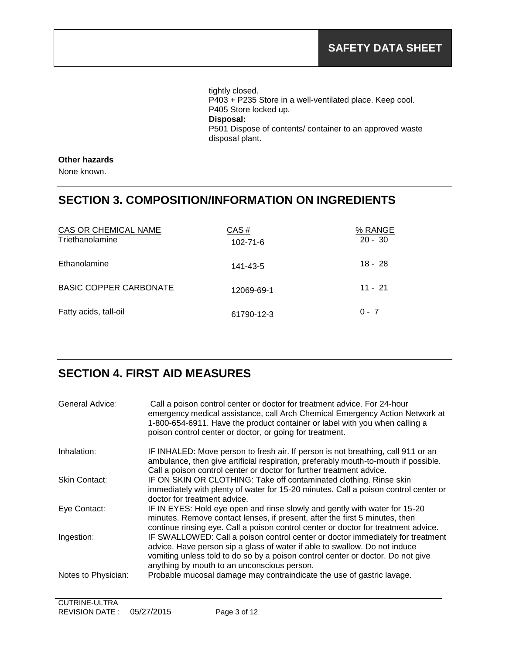tightly closed. P403 + P235 Store in a well-ventilated place. Keep cool. P405 Store locked up. **Disposal:**  P501 Dispose of contents/ container to an approved waste disposal plant.

### **Other hazards**

None known.

### **SECTION 3. COMPOSITION/INFORMATION ON INGREDIENTS**

| CAS OR CHEMICAL NAME<br>Triethanolamine | CAS#<br>$102 - 71 - 6$ | % RANGE<br>$20 - 30$ |
|-----------------------------------------|------------------------|----------------------|
| Ethanolamine                            | 141-43-5               | $18 - 28$            |
| <b>BASIC COPPER CARBONATE</b>           | 12069-69-1             | $11 - 21$            |
| Fatty acids, tall-oil                   | 61790-12-3             | $0 - 7$              |

## **SECTION 4. FIRST AID MEASURES**

| General Advice:     | Call a poison control center or doctor for treatment advice. For 24-hour<br>emergency medical assistance, call Arch Chemical Emergency Action Network at<br>1-800-654-6911. Have the product container or label with you when calling a<br>poison control center or doctor, or going for treatment. |
|---------------------|-----------------------------------------------------------------------------------------------------------------------------------------------------------------------------------------------------------------------------------------------------------------------------------------------------|
| Inhalation:         | IF INHALED: Move person to fresh air. If person is not breathing, call 911 or an<br>ambulance, then give artificial respiration, preferably mouth-to-mouth if possible.<br>Call a poison control center or doctor for further treatment advice.                                                     |
| Skin Contact:       | IF ON SKIN OR CLOTHING: Take off contaminated clothing. Rinse skin<br>immediately with plenty of water for 15-20 minutes. Call a poison control center or<br>doctor for treatment advice.                                                                                                           |
| Eye Contact:        | IF IN EYES: Hold eye open and rinse slowly and gently with water for 15-20<br>minutes. Remove contact lenses, if present, after the first 5 minutes, then<br>continue rinsing eye. Call a poison control center or doctor for treatment advice.                                                     |
| Ingestion:          | IF SWALLOWED: Call a poison control center or doctor immediately for treatment<br>advice. Have person sip a glass of water if able to swallow. Do not induce<br>vomiting unless told to do so by a poison control center or doctor. Do not give<br>anything by mouth to an unconscious person.      |
| Notes to Physician: | Probable mucosal damage may contraindicate the use of gastric lavage.                                                                                                                                                                                                                               |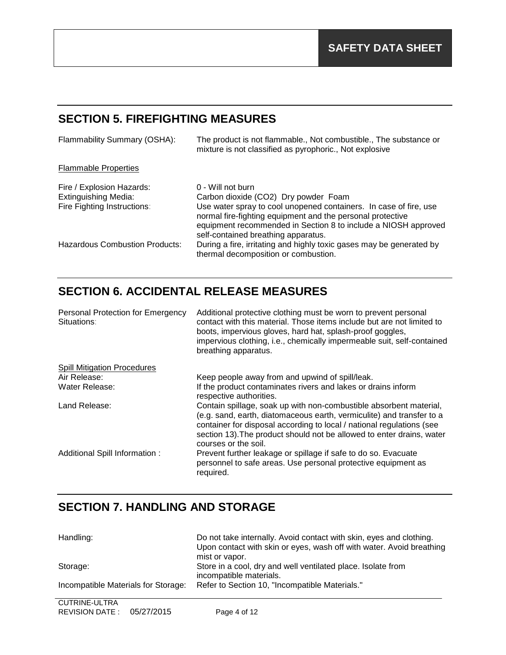## **SECTION 5. FIREFIGHTING MEASURES**

| Flammability Summary (OSHA):                                                            | The product is not flammable., Not combustible., The substance or<br>mixture is not classified as pyrophoric., Not explosive                                                                                                                                                                          |
|-----------------------------------------------------------------------------------------|-------------------------------------------------------------------------------------------------------------------------------------------------------------------------------------------------------------------------------------------------------------------------------------------------------|
| <b>Flammable Properties</b>                                                             |                                                                                                                                                                                                                                                                                                       |
| Fire / Explosion Hazards:<br><b>Extinguishing Media:</b><br>Fire Fighting Instructions: | 0 - Will not burn<br>Carbon dioxide (CO2) Dry powder Foam<br>Use water spray to cool unopened containers. In case of fire, use<br>normal fire-fighting equipment and the personal protective<br>equipment recommended in Section 8 to include a NIOSH approved<br>self-contained breathing apparatus. |
| Hazardous Combustion Products:                                                          | During a fire, irritating and highly toxic gases may be generated by<br>thermal decomposition or combustion.                                                                                                                                                                                          |

# **SECTION 6. ACCIDENTAL RELEASE MEASURES**

| <b>Personal Protection for Emergency</b><br>Situations: | Additional protective clothing must be worn to prevent personal<br>contact with this material. Those items include but are not limited to<br>boots, impervious gloves, hard hat, splash-proof goggles,<br>impervious clothing, i.e., chemically impermeable suit, self-contained<br>breathing apparatus.              |
|---------------------------------------------------------|-----------------------------------------------------------------------------------------------------------------------------------------------------------------------------------------------------------------------------------------------------------------------------------------------------------------------|
| <b>Spill Mitigation Procedures</b>                      |                                                                                                                                                                                                                                                                                                                       |
| Air Release:                                            | Keep people away from and upwind of spill/leak.                                                                                                                                                                                                                                                                       |
| Water Release:                                          | If the product contaminates rivers and lakes or drains inform<br>respective authorities.                                                                                                                                                                                                                              |
| Land Release:                                           | Contain spillage, soak up with non-combustible absorbent material,<br>(e.g. sand, earth, diatomaceous earth, vermiculite) and transfer to a<br>container for disposal according to local / national regulations (see<br>section 13). The product should not be allowed to enter drains, water<br>courses or the soil. |
| Additional Spill Information:                           | Prevent further leakage or spillage if safe to do so. Evacuate<br>personnel to safe areas. Use personal protective equipment as<br>required.                                                                                                                                                                          |

# **SECTION 7. HANDLING AND STORAGE**

| Handling:                           | Do not take internally. Avoid contact with skin, eyes and clothing.<br>Upon contact with skin or eyes, wash off with water. Avoid breathing<br>mist or vapor. |
|-------------------------------------|---------------------------------------------------------------------------------------------------------------------------------------------------------------|
| Storage:                            | Store in a cool, dry and well ventilated place. Isolate from<br>incompatible materials.                                                                       |
| Incompatible Materials for Storage: | Refer to Section 10, "Incompatible Materials."                                                                                                                |
|                                     |                                                                                                                                                               |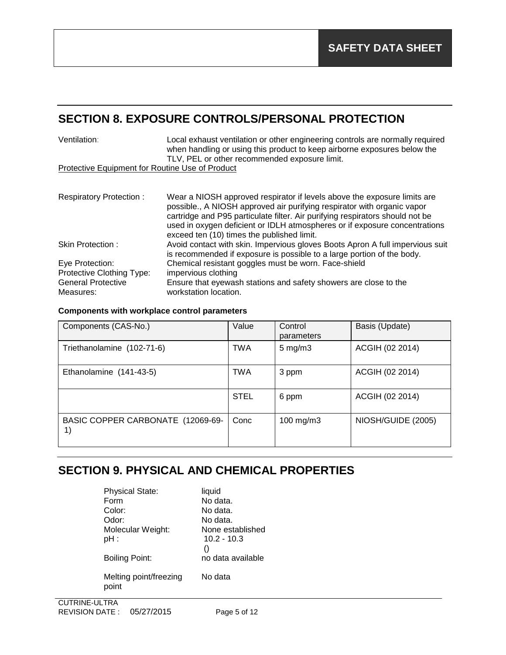### **SECTION 8. EXPOSURE CONTROLS/PERSONAL PROTECTION**

| Ventilation:                                    | Local exhaust ventilation or other engineering controls are normally required<br>when handling or using this product to keep airborne exposures below the<br>TLV, PEL or other recommended exposure limit.                                                                                                                                                       |
|-------------------------------------------------|------------------------------------------------------------------------------------------------------------------------------------------------------------------------------------------------------------------------------------------------------------------------------------------------------------------------------------------------------------------|
| Protective Equipment for Routine Use of Product |                                                                                                                                                                                                                                                                                                                                                                  |
|                                                 |                                                                                                                                                                                                                                                                                                                                                                  |
| <b>Respiratory Protection:</b>                  | Wear a NIOSH approved respirator if levels above the exposure limits are<br>possible., A NIOSH approved air purifying respirator with organic vapor<br>cartridge and P95 particulate filter. Air purifying respirators should not be<br>used in oxygen deficient or IDLH atmospheres or if exposure concentrations<br>exceed ten (10) times the published limit. |
| Skin Protection:                                | Avoid contact with skin. Impervious gloves Boots Apron A full impervious suit<br>is recommended if exposure is possible to a large portion of the body.                                                                                                                                                                                                          |
| Eye Protection:                                 | Chemical resistant goggles must be worn. Face-shield                                                                                                                                                                                                                                                                                                             |
| Protective Clothing Type:                       | impervious clothing                                                                                                                                                                                                                                                                                                                                              |
| <b>General Protective</b>                       | Ensure that eyewash stations and safety showers are close to the                                                                                                                                                                                                                                                                                                 |
| Measures:                                       | workstation location.                                                                                                                                                                                                                                                                                                                                            |

### **Components with workplace control parameters**

| Components (CAS-No.)                    | Value       | Control<br>parameters | Basis (Update)     |
|-----------------------------------------|-------------|-----------------------|--------------------|
| Triethanolamine (102-71-6)              | TWA         | $5 \text{ mg/m}$ 3    | ACGIH (02 2014)    |
| Ethanolamine (141-43-5)                 | TWA         | 3 ppm                 | ACGIH (02 2014)    |
|                                         | <b>STEL</b> | 6 ppm                 | ACGIH (02 2014)    |
| BASIC COPPER CARBONATE (12069-69-<br>1) | Conc        | $100$ mg/m $3$        | NIOSH/GUIDE (2005) |

### **SECTION 9. PHYSICAL AND CHEMICAL PROPERTIES**

| <b>Physical State:</b><br>Form  | liquid<br>No data.                                    |
|---------------------------------|-------------------------------------------------------|
| Color:<br>Odor:                 | No data.<br>No data.                                  |
| Molecular Weight:<br>pH :       | None established<br>$10.2 - 10.3$<br>$\left( \right)$ |
| Boiling Point:                  | no data available                                     |
| Melting point/freezing<br>point | No data                                               |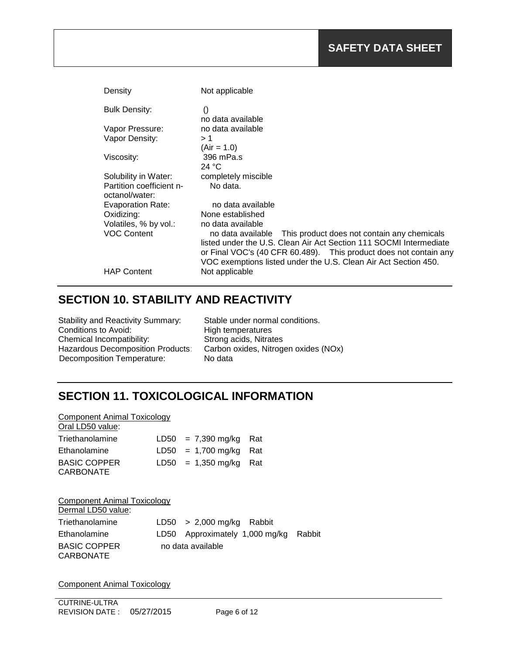| Density                                                                                                                                              | Not applicable                                                                                                                                                                                                                          |
|------------------------------------------------------------------------------------------------------------------------------------------------------|-----------------------------------------------------------------------------------------------------------------------------------------------------------------------------------------------------------------------------------------|
| <b>Bulk Density:</b>                                                                                                                                 | $_{()}$<br>no data available                                                                                                                                                                                                            |
| Vapor Pressure:                                                                                                                                      | no data available                                                                                                                                                                                                                       |
| Vapor Density:                                                                                                                                       | >1                                                                                                                                                                                                                                      |
|                                                                                                                                                      | $(Air = 1.0)$                                                                                                                                                                                                                           |
| Viscosity:                                                                                                                                           | 396 mPa.s<br>24 °C                                                                                                                                                                                                                      |
| Solubility in Water:<br>Partition coefficient n-<br>octanol/water:<br>Evaporation Rate:<br>Oxidizing:<br>Volatiles, % by vol.:<br><b>VOC Content</b> | completely miscible<br>No data.<br>no data available<br>None established<br>no data available<br>This product does not contain any chemicals<br>no data available<br>listed under the U.S. Clean Air Act Section 111 SOCMI Intermediate |
| <b>HAP Content</b>                                                                                                                                   | or Final VOC's (40 CFR 60.489). This product does not contain any<br>VOC exemptions listed under the U.S. Clean Air Act Section 450.<br>Not applicable                                                                                  |

## **SECTION 10. STABILITY AND REACTIVITY**

| <b>Stability and Reactivity Summary:</b> |
|------------------------------------------|
| Conditions to Avoid:                     |
| Chemical Incompatibility:                |
| Hazardous Decomposition Products:        |
| <b>Decomposition Temperature:</b>        |

Stable under normal conditions. High temperatures Strong acids, Nitrates Carbon oxides, Nitrogen oxides (NOx) No data

## **SECTION 11. TOXICOLOGICAL INFORMATION**

| <b>Component Animal Toxicology</b>                       |                      |     |
|----------------------------------------------------------|----------------------|-----|
| Oral LD50 value:                                         |                      |     |
| Triethanolamine                                          | $LD50 = 7,390$ mg/kg | Rat |
| Ethanolamine                                             | $LD50 = 1,700$ mg/kg | Rat |
| <b>BASIC COPPER</b><br>CARBONATE                         | $LD50 = 1,350$ mg/kg | Rat |
| <b>Component Animal Toxicology</b><br>Dermal LD50 value: |                      |     |
|                                                          |                      |     |

| Triethanolamine                  | $LD50 > 2,000$ mg/kg Rabbit           |  |
|----------------------------------|---------------------------------------|--|
| Ethanolamine                     | LD50 Approximately 1,000 mg/kg Rabbit |  |
| <b>BASIC COPPER</b><br>CARBONATE | no data available                     |  |

Component Animal Toxicology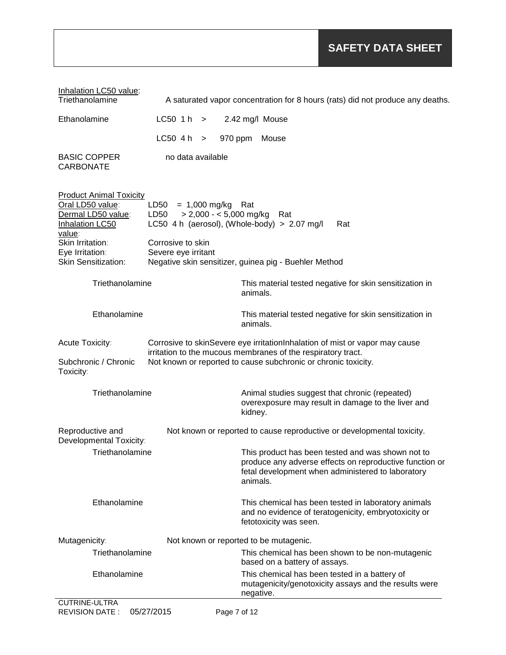| Inhalation LC50 value:<br>Triethanolamine                                                                                                                           |                                                                                                           |                                                            | A saturated vapor concentration for 8 hours (rats) did not produce any deaths.                                                                                    |  |
|---------------------------------------------------------------------------------------------------------------------------------------------------------------------|-----------------------------------------------------------------------------------------------------------|------------------------------------------------------------|-------------------------------------------------------------------------------------------------------------------------------------------------------------------|--|
| Ethanolamine                                                                                                                                                        | $LC50$ 1h $>$                                                                                             | 2.42 mg/l Mouse                                            |                                                                                                                                                                   |  |
|                                                                                                                                                                     | $LC50$ 4h $>$<br>970 ppm                                                                                  | Mouse                                                      |                                                                                                                                                                   |  |
| <b>BASIC COPPER</b><br><b>CARBONATE</b>                                                                                                                             | no data available                                                                                         |                                                            |                                                                                                                                                                   |  |
| <b>Product Animal Toxicity</b><br>Oral LD50 value:<br>Dermal LD50 value:<br><b>Inhalation LC50</b><br>value:                                                        | $LD50 = 1,000$ mg/kg<br>$> 2,000 - 5,000$ mg/kg<br>LD50<br>LC50 4 h (aerosol), (Whole-body) $> 2.07$ mg/l | Rat<br>Rat                                                 | Rat                                                                                                                                                               |  |
| Skin Irritation:<br>Eye Irritation:<br><b>Skin Sensitization:</b>                                                                                                   | Corrosive to skin<br>Severe eye irritant<br>Negative skin sensitizer, guinea pig - Buehler Method         |                                                            |                                                                                                                                                                   |  |
|                                                                                                                                                                     |                                                                                                           |                                                            |                                                                                                                                                                   |  |
| Triethanolamine                                                                                                                                                     |                                                                                                           | animals.                                                   | This material tested negative for skin sensitization in                                                                                                           |  |
| Ethanolamine                                                                                                                                                        |                                                                                                           | animals.                                                   | This material tested negative for skin sensitization in                                                                                                           |  |
| Acute Toxicity:<br>Corrosive to skinSevere eye irritationInhalation of mist or vapor may cause                                                                      |                                                                                                           |                                                            |                                                                                                                                                                   |  |
| irritation to the mucous membranes of the respiratory tract.<br>Subchronic / Chronic<br>Not known or reported to cause subchronic or chronic toxicity.<br>Toxicity: |                                                                                                           |                                                            |                                                                                                                                                                   |  |
| Triethanolamine                                                                                                                                                     |                                                                                                           | Animal studies suggest that chronic (repeated)<br>kidney.  | overexposure may result in damage to the liver and                                                                                                                |  |
| Reproductive and<br>Developmental Toxicity:                                                                                                                         |                                                                                                           |                                                            | Not known or reported to cause reproductive or developmental toxicity.                                                                                            |  |
| Triethanolamine                                                                                                                                                     |                                                                                                           | animals.                                                   | This product has been tested and was shown not to<br>produce any adverse effects on reproductive function or<br>fetal development when administered to laboratory |  |
| Ethanolamine                                                                                                                                                        |                                                                                                           | fetotoxicity was seen.                                     | This chemical has been tested in laboratory animals<br>and no evidence of teratogenicity, embryotoxicity or                                                       |  |
| Mutagenicity:<br>Not known or reported to be mutagenic.                                                                                                             |                                                                                                           |                                                            |                                                                                                                                                                   |  |
| Triethanolamine                                                                                                                                                     |                                                                                                           | based on a battery of assays.                              | This chemical has been shown to be non-mutagenic                                                                                                                  |  |
| Ethanolamine                                                                                                                                                        |                                                                                                           | This chemical has been tested in a battery of<br>negative. | mutagenicity/genotoxicity assays and the results were                                                                                                             |  |
| <b>CUTRINE-ULTRA</b>                                                                                                                                                |                                                                                                           |                                                            |                                                                                                                                                                   |  |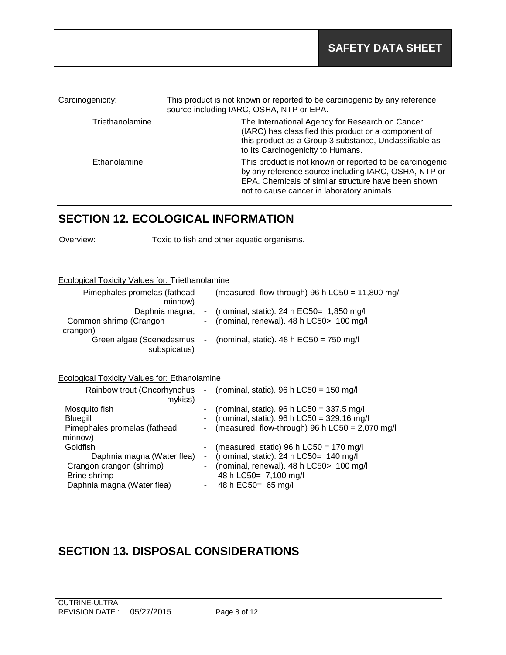| Carcinogenicity: | This product is not known or reported to be carcinogenic by any reference<br>source including IARC, OSHA, NTP or EPA.                                                                                                 |
|------------------|-----------------------------------------------------------------------------------------------------------------------------------------------------------------------------------------------------------------------|
| Triethanolamine  | The International Agency for Research on Cancer<br>(IARC) has classified this product or a component of<br>this product as a Group 3 substance, Unclassifiable as<br>to Its Carcinogenicity to Humans.                |
| Ethanolamine     | This product is not known or reported to be carcinogenic<br>by any reference source including IARC, OSHA, NTP or<br>EPA. Chemicals of similar structure have been shown<br>not to cause cancer in laboratory animals. |

# **SECTION 12. ECOLOGICAL INFORMATION**

Overview: Toxic to fish and other aquatic organisms.

#### Ecological Toxicity Values for: Triethanolamine

| Pimephales promelas (fathead<br>minnow)  | - (measured, flow-through) 96 h LC50 = $11,800$ mg/l |
|------------------------------------------|------------------------------------------------------|
| Daphnia magna,                           | - (nominal, static). 24 h $EC50=$ 1,850 mg/l         |
|                                          |                                                      |
| Common shrimp (Crangon                   | - (nominal, renewal). 48 h LC50 > 100 mg/l           |
| crangon)                                 |                                                      |
| Green algae (Scenedesmus<br>subspicatus) | - (nominal, static). $48 h$ EC50 = 750 mg/l          |

#### Ecological Toxicity Values for: Ethanolamine

| Rainbow trout (Oncorhynchus<br>mykiss)  | $\sim$ | (nominal, static). 96 h LC50 = 150 mg/l                                                                                                          |
|-----------------------------------------|--------|--------------------------------------------------------------------------------------------------------------------------------------------------|
| Mosquito fish<br><b>Bluegill</b>        |        | (nominal, static). 96 h LC50 = $337.5$ mg/l<br>(nominal, static). 96 h LC50 = $329.16$ mg/l<br>(measured, flow-through) 96 h LC50 = $2,070$ mg/l |
| Pimephales promelas (fathead<br>minnow) |        |                                                                                                                                                  |
| Goldfish                                |        | (measured, static) 96 h $LC50 = 170$ mg/l                                                                                                        |
| Daphnia magna (Water flea)              |        | - (nominal, static). 24 h LC50= 140 mg/l                                                                                                         |
| Crangon crangon (shrimp)                |        | (nominal, renewal). 48 h LC50> 100 mg/l                                                                                                          |
| Brine shrimp                            |        | 48 h LC50= 7,100 mg/l                                                                                                                            |
| Daphnia magna (Water flea)              |        | 48 h EC50= 65 mg/l                                                                                                                               |
|                                         |        |                                                                                                                                                  |

### **SECTION 13. DISPOSAL CONSIDERATIONS**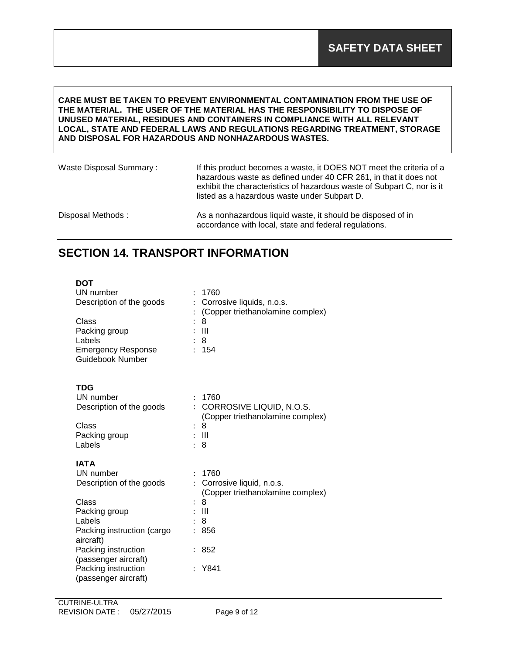#### **CARE MUST BE TAKEN TO PREVENT ENVIRONMENTAL CONTAMINATION FROM THE USE OF THE MATERIAL. THE USER OF THE MATERIAL HAS THE RESPONSIBILITY TO DISPOSE OF UNUSED MATERIAL, RESIDUES AND CONTAINERS IN COMPLIANCE WITH ALL RELEVANT LOCAL, STATE AND FEDERAL LAWS AND REGULATIONS REGARDING TREATMENT, STORAGE AND DISPOSAL FOR HAZARDOUS AND NONHAZARDOUS WASTES.**

| Waste Disposal Summary: | If this product becomes a waste, it DOES NOT meet the criteria of a<br>hazardous waste as defined under 40 CFR 261, in that it does not<br>exhibit the characteristics of hazardous waste of Subpart C, nor is it<br>listed as a hazardous waste under Subpart D. |  |  |
|-------------------------|-------------------------------------------------------------------------------------------------------------------------------------------------------------------------------------------------------------------------------------------------------------------|--|--|
| Disposal Methods:       | As a nonhazardous liquid waste, it should be disposed of in<br>accordance with local, state and federal regulations.                                                                                                                                              |  |  |

### **SECTION 14. TRANSPORT INFORMATION**

| UN number<br>Description of the goods<br>Class<br>Packing group<br>Labels<br><b>Emergency Response</b><br>Guidebook Number | 1760<br>Corrosive liquids, n.o.s.<br>(Copper triethanolamine complex)<br>8<br>Ш<br>8<br>154<br>÷                        |
|----------------------------------------------------------------------------------------------------------------------------|-------------------------------------------------------------------------------------------------------------------------|
| <b>TDG</b><br>UN number<br>Description of the goods<br>Class<br>Packing group<br>Labels                                    | 1760<br>CORROSIVE LIQUID, N.O.S.<br>(Copper triethanolamine complex)<br>8<br>$:$ III<br>8<br>÷                          |
| <b>IATA</b><br>UN number<br>Description of the goods<br>Class<br>Packing group<br>Labels<br>Packing instruction (cargo     | 1760<br>Corrosive liquid, n.o.s.<br>$\mathbf{L}$<br>(Copper triethanolamine complex)<br>8<br>$\mathbf{III}$<br>8<br>856 |
| aircraft)<br>Packing instruction<br>(passenger aircraft)<br>Packing instruction<br>(passenger aircraft)                    | 852<br>Y841                                                                                                             |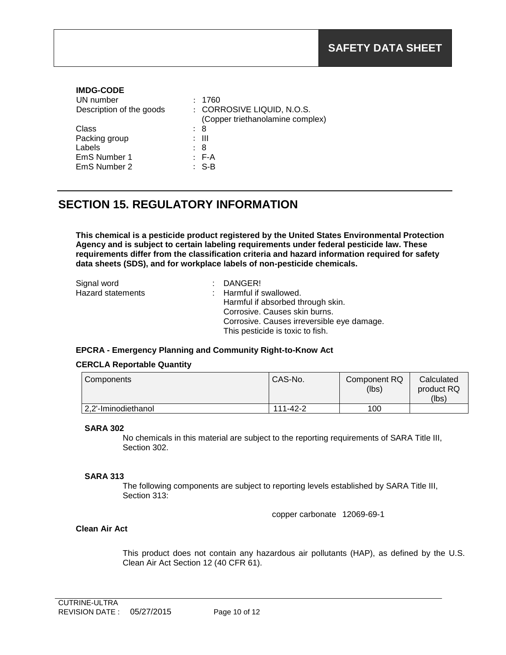| <b>IMDG-CODE</b>         |                                  |
|--------------------------|----------------------------------|
| UN number                | 1760                             |
| Description of the goods | : CORROSIVE LIQUID, N.O.S.       |
|                          | (Copper triethanolamine complex) |
| Class                    | : 8                              |
| Packing group            | : III                            |
| Labels                   | : 8                              |
| EmS Number 1             | $E - A$                          |
| EmS Number 2             | $S-R$                            |
|                          |                                  |

## **SECTION 15. REGULATORY INFORMATION**

**This chemical is a pesticide product registered by the United States Environmental Protection Agency and is subject to certain labeling requirements under federal pesticide law. These requirements differ from the classification criteria and hazard information required for safety data sheets (SDS), and for workplace labels of non-pesticide chemicals.**

| Signal word       | : DANGER!                                  |
|-------------------|--------------------------------------------|
| Hazard statements | : Harmful if swallowed.                    |
|                   | Harmful if absorbed through skin.          |
|                   | Corrosive. Causes skin burns.              |
|                   | Corrosive. Causes irreversible eye damage. |
|                   | This pesticide is toxic to fish.           |

#### **EPCRA - Emergency Planning and Community Right-to-Know Act**

#### **CERCLA Reportable Quantity**

| Components          | CAS-No.  | Component RQ<br>(lbs) | Calculated<br>product RQ<br>(lbs) |
|---------------------|----------|-----------------------|-----------------------------------|
| 2,2'-Iminodiethanol | 111-42-2 | 100                   |                                   |

#### **SARA 302**

No chemicals in this material are subject to the reporting requirements of SARA Title III, Section 302.

#### **SARA 313**

The following components are subject to reporting levels established by SARA Title III, Section 313:

copper carbonate 12069-69-1

#### **Clean Air Act**

This product does not contain any hazardous air pollutants (HAP), as defined by the U.S. Clean Air Act Section 12 (40 CFR 61).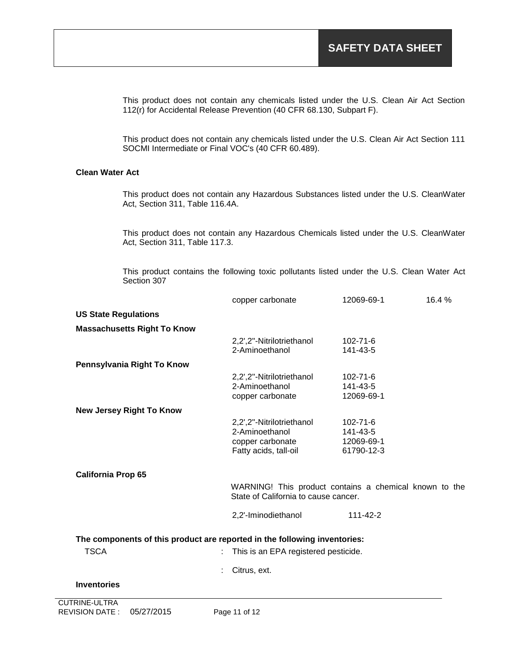This product does not contain any chemicals listed under the U.S. Clean Air Act Section 112(r) for Accidental Release Prevention (40 CFR 68.130, Subpart F).

This product does not contain any chemicals listed under the U.S. Clean Air Act Section 111 SOCMI Intermediate or Final VOC's (40 CFR 60.489).

#### **Clean Water Act**

This product does not contain any Hazardous Substances listed under the U.S. CleanWater Act, Section 311, Table 116.4A.

This product does not contain any Hazardous Chemicals listed under the U.S. CleanWater Act, Section 311, Table 117.3.

This product contains the following toxic pollutants listed under the U.S. Clean Water Act Section 307

|                                    | copper carbonate                                                                         | 12069-69-1                                                                                     | 16.4% |
|------------------------------------|------------------------------------------------------------------------------------------|------------------------------------------------------------------------------------------------|-------|
| <b>US State Regulations</b>        |                                                                                          |                                                                                                |       |
| <b>Massachusetts Right To Know</b> |                                                                                          |                                                                                                |       |
|                                    | 2,2',2"-Nitrilotriethanol<br>2-Aminoethanol                                              | 102-71-6<br>141-43-5                                                                           |       |
| Pennsylvania Right To Know         |                                                                                          |                                                                                                |       |
|                                    | 2,2',2"-Nitrilotriethanol<br>2-Aminoethanol<br>copper carbonate                          | $102 - 71 - 6$<br>141-43-5<br>12069-69-1                                                       |       |
| <b>New Jersey Right To Know</b>    |                                                                                          |                                                                                                |       |
|                                    | 2,2',2"-Nitrilotriethanol<br>2-Aminoethanol<br>copper carbonate<br>Fatty acids, tall-oil | 102-71-6<br>141-43-5<br>12069-69-1<br>61790-12-3                                               |       |
| <b>California Prop 65</b>          |                                                                                          |                                                                                                |       |
|                                    |                                                                                          | WARNING! This product contains a chemical known to the<br>State of California to cause cancer. |       |
|                                    | 2,2'-Iminodiethanol                                                                      | 111-42-2                                                                                       |       |
|                                    | The components of this product are reported in the following inventories:                |                                                                                                |       |
| <b>TSCA</b>                        | This is an EPA registered pesticide.                                                     |                                                                                                |       |
|                                    | Citrus, ext.                                                                             |                                                                                                |       |
| <b>Inventories</b>                 |                                                                                          |                                                                                                |       |